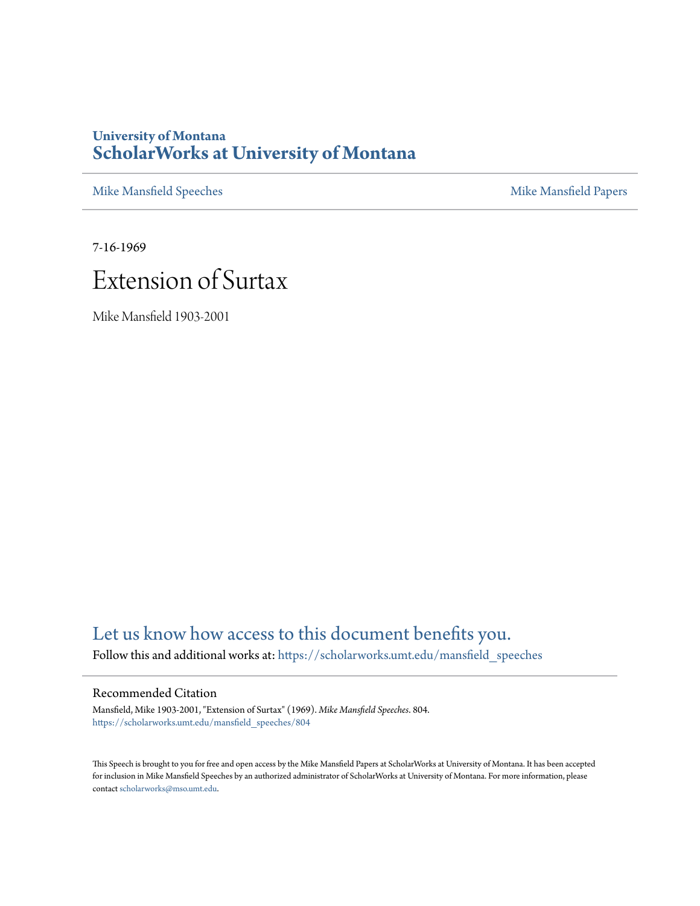## **University of Montana [ScholarWorks at University of Montana](https://scholarworks.umt.edu?utm_source=scholarworks.umt.edu%2Fmansfield_speeches%2F804&utm_medium=PDF&utm_campaign=PDFCoverPages)**

[Mike Mansfield Speeches](https://scholarworks.umt.edu/mansfield_speeches?utm_source=scholarworks.umt.edu%2Fmansfield_speeches%2F804&utm_medium=PDF&utm_campaign=PDFCoverPages) **[Mike Mansfield Papers](https://scholarworks.umt.edu/mike_mansfield_papers?utm_source=scholarworks.umt.edu%2Fmansfield_speeches%2F804&utm_medium=PDF&utm_campaign=PDFCoverPages)** Mike Mansfield Papers

7-16-1969



Mike Mansfield 1903-2001

# [Let us know how access to this document benefits you.](https://goo.gl/forms/s2rGfXOLzz71qgsB2)

Follow this and additional works at: [https://scholarworks.umt.edu/mansfield\\_speeches](https://scholarworks.umt.edu/mansfield_speeches?utm_source=scholarworks.umt.edu%2Fmansfield_speeches%2F804&utm_medium=PDF&utm_campaign=PDFCoverPages)

## Recommended Citation

Mansfield, Mike 1903-2001, "Extension of Surtax" (1969). *Mike Mansfield Speeches*. 804. [https://scholarworks.umt.edu/mansfield\\_speeches/804](https://scholarworks.umt.edu/mansfield_speeches/804?utm_source=scholarworks.umt.edu%2Fmansfield_speeches%2F804&utm_medium=PDF&utm_campaign=PDFCoverPages)

This Speech is brought to you for free and open access by the Mike Mansfield Papers at ScholarWorks at University of Montana. It has been accepted for inclusion in Mike Mansfield Speeches by an authorized administrator of ScholarWorks at University of Montana. For more information, please contact [scholarworks@mso.umt.edu.](mailto:scholarworks@mso.umt.edu)